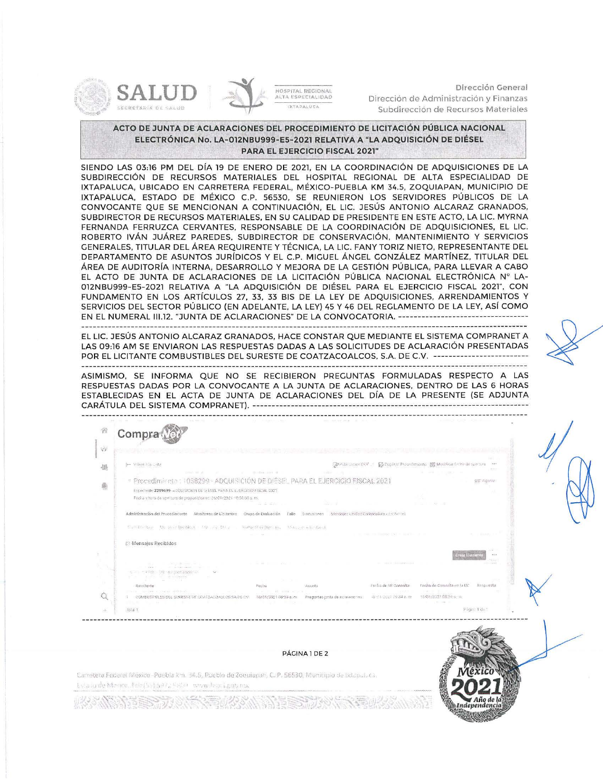

 $\mathbb{C}$ 

ú,

fotal 1



Dirección General Dirección de Administración y Finanzas Subdirección de Recursos Materiales

## **ACTO DE JUNTA DE ACLARACIONES DEL PROCEDIMIENTO DE LICITACIÓN PÚBLICA NACIONAL ELECTRÓNICA No. LA-012NBU999-E5-2021 RELATIVA A "LA ADQUISICIÓN DE DIÉSEL PARA EL EJERCICIO FISCAL 2021"**

SIENDO LAS 03:16 PM DEL DÍA 19 DE ENERO DE 2021, EN LA COORDINACIÓN DE ADQUISICIONES DE LA SUBDIRECCIÓN DE RECURSOS MATERIALES DEL HOSPITAL REGIONAL DE ALTA ESPECIALIDAD DE IXTAPALUCA. UBICADO EN CARRETERA FEDERAL, MÉXICO-PUEBLA KM 34.5, ZOQUIAPAN, MUNICIPIO DE IXTAPALUCA. ESTADO DE MÉXICO C.P. 56530, SE REUNIERON LOS SERVIDORES PÚBLICOS DE LA CONVOCANTE QUE SE MENCIONAN A CONTINUACIÓN, EL LIC. JESÚS ANTONIO ALCARAZ GRANADOS, SUBDIRECTOR DE RECURSOS MATERIALES, EN SU CALIDAD DE PRESIDENTE EN ESTE ACTO, LA LIC. MYRNA FERNANDA FERRUZCA CERVANTES, RESPONSABLE DE LA COORDINACIÓN DE ADQUISICIONES, EL LIC. ROBERTO IVÁN JUÁREZ PAREDES, SUBDIRECTOR DE CONSERVACIÓN, MANTENIMIENTO Y SERVICIOS GENERALES, TITULAR DEL ÁREA REQUIRENTE Y TÉCNICA, LA LIC. FANY TORIZ NIETO, REPRESENTANTE DEL DEPARTAMENTO DE ASUNTOS JURÍDICOS Y EL C.P. MIGUEL ÁNGEL GONZÁLEZ MARTÍNEZ, TITULAR DEL ÁREA DE AUDITORÍA INTERNA, DESARROLLO Y MEJORA DE LA GESTIÓN PÚBLICA. PARA LLEVAR A CABO EL ACTO DE JUNTA DE ACLARACIONES DE LA LICITACIÓN PÚBLICA NACIONAL ELECTRÓNICA Nº LA-012NBU999-E5-2021 RELATIVA A "LA ADQUISICIÓN DE DIÉSEL PARA EL EJERCICIO FISCAL 2021", CON FUNDAMENTO EN LOS ARTÍCULOS 27, 33, 33 BIS DE LA LEY DE ADQUISICIONES, ARRENDAMIENTOS Y SERVICIOS DEL SECTOR PÚBLICO (EN ADELANTE, LA LEY) 45 Y 46 DEL REGLAMENTO DE LA LEY, ASÍ COMO EN EL NUMERAL III.12. "JUNTA DE ACLARACIONES" DE LA CONVOCATORIA. ---------------------------------

EL LIC. JESÚS ANTONIO ALCARAZ GRANADOS, HACE CONSTAR QUE MEDIANTE EL SISTEMA COMPRANET A LAS 09:16 AM SE ENVIARON LAS RESPUESTAS DADAS A LAS SOLICITUDES DE ACLARACIÓN PRESENTADAS POR EL LICITANTE COMBUSTIBLES DEL SURESTE DE COATZACOALCOS, S.A. DE C.V. -------------------------

ASIMISMO, SE INFORMA QUE NO SE RECIBIERON PREGUNTAS FORMULADAS RESPECTO A LAS RESPUESTAS DADAS POR LA CONVOCANTE A LA JUNTA DE ACLARACIONES. DENTRO DE LAS 6 HORAS ESTABLECIDAS EN EL ACTA DE JUNTA DE ACLARACIONES DEL DÍA DE LA PRESENTE (SE ADJUNTA CARÁTULA DEL SISTEMA COMPRAN ET). ------------------------------------------------------------------------

'Í" **Compra.**   $\sqrt{2}$ Dreadingson por C E3 Publical Procedimento 150 Modificar fection in the 县 F Procedimiento : 1038299 - ADQUISICIÓN DE DIÉSEL PARA EL EJERCICIO FISCAL 2021 an vaprie 萌 Expediente 2209699- ADDUISIONN DE D'ESEL PARA EL EJERCICIO FISCAL 2001 Facha y hora de apertura de proposiciones: 26/01/2921/18/38.00 a. m. Administración del Procedimiento Monitoreo de Licitantes Grupo de Evaluación Fallo Discusiones Mensales Unided Compradora / Untantes Cymerican Marshall Marine Marine Monachuetae David Marine Monach **M(:llS.JJes: Recibidos**  ,, **14'ft ·'i** ... Feclia de Mi Consolta Fecha de Consulta en la UC Respuesta Renviterde Fecha Asunto

PÁGINA 1DE 2

(Village) Strate in 18701790510054 and

Págin: 1 du 1

Carretera Federal México -Puebla km. 34.5, Pueblo de Zoquiapan, C. P. 56530, Municipio de Ixtapalaca. Eviationle Maxico, Tele (55) 597, Sed all www.hraci.gob.mx.

COMBISTER ES DEL SIBESTE DE CONTACQUICOS SA DE CV 18/01/2021 GR39 a.m. Fremadas coda de acacacción